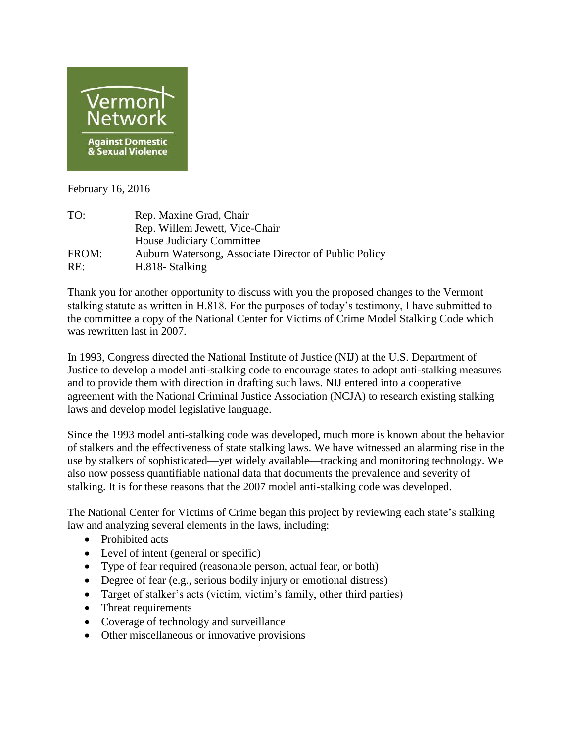

February 16, 2016

| TO:   | Rep. Maxine Grad, Chair                               |
|-------|-------------------------------------------------------|
|       | Rep. Willem Jewett, Vice-Chair                        |
|       | House Judiciary Committee                             |
| FROM: | Auburn Watersong, Associate Director of Public Policy |
| RE:   | H.818- Stalking                                       |

Thank you for another opportunity to discuss with you the proposed changes to the Vermont stalking statute as written in H.818. For the purposes of today's testimony, I have submitted to the committee a copy of the National Center for Victims of Crime Model Stalking Code which was rewritten last in 2007.

In 1993, Congress directed the National Institute of Justice (NIJ) at the U.S. Department of Justice to develop a model anti-stalking code to encourage states to adopt anti-stalking measures and to provide them with direction in drafting such laws. NIJ entered into a cooperative agreement with the National Criminal Justice Association (NCJA) to research existing stalking laws and develop model legislative language.

Since the 1993 model anti-stalking code was developed, much more is known about the behavior of stalkers and the effectiveness of state stalking laws. We have witnessed an alarming rise in the use by stalkers of sophisticated—yet widely available—tracking and monitoring technology. We also now possess quantifiable national data that documents the prevalence and severity of stalking. It is for these reasons that the 2007 model anti-stalking code was developed.

The National Center for Victims of Crime began this project by reviewing each state's stalking law and analyzing several elements in the laws, including:

- Prohibited acts
- Level of intent (general or specific)
- Type of fear required (reasonable person, actual fear, or both)
- Degree of fear (e.g., serious bodily injury or emotional distress)
- Target of stalker's acts (victim, victim's family, other third parties)
- Threat requirements
- Coverage of technology and surveillance
- Other miscellaneous or innovative provisions